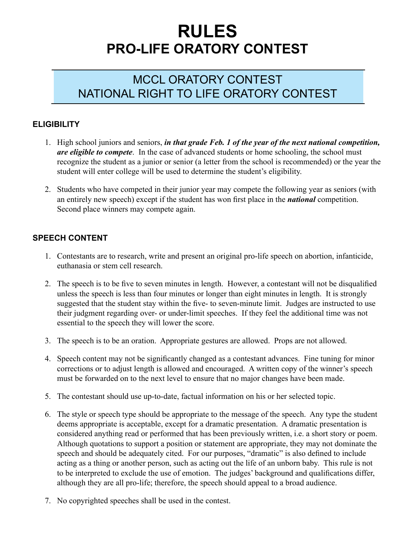# **RULES PRO-LIFE ORATORY CONTEST**

## MCCL ORATORY CONTEST NATIONAL RIGHT TO LIFE ORATORY CONTEST

### **ELIGIBILITY**

- 1. High school juniors and seniors, *in that grade Feb. 1 of the year of the next national competition*, *are eligible to compete*. In the case of advanced students or home schooling, the school must recognize the student as a junior or senior (a letter from the school is recommended) or the year the student will enter college will be used to determine the student's eligibility.
- 2. Students who have competed in their junior year may compete the following year as seniors (with an entirely new speech) except if the student has won first place in the *national* competition. Second place winners may compete again.

#### **SPEECH CONTENT**

- 1. Contestants are to research, write and present an original pro-life speech on abortion, infanticide, euthanasia or stem cell research.
- 2. The speech is to be five to seven minutes in length. However, a contestant will not be disqualified unless the speech is less than four minutes or longer than eight minutes in length. It is strongly suggested that the student stay within the five- to seven-minute limit. Judges are instructed to use their judgment regarding over- or under-limit speeches. If they feel the additional time was not essential to the speech they will lower the score.
- 3. The speech is to be an oration. Appropriate gestures are allowed. Props are not allowed.
- 4. Speech content may not be significantly changed as a contestant advances. Fine tuning for minor corrections or to adjust length is allowed and encouraged. A written copy of the winner's speech must be forwarded on to the next level to ensure that no major changes have been made.
- 5. The contestant should use up-to-date, factual information on his or her selected topic.
- 6. The style or speech type should be appropriate to the message of the speech. Any type the student deems appropriate is acceptable, except for a dramatic presentation. A dramatic presentation is considered anything read or performed that has been previously written, i.e. a short story or poem. Although quotations to support a position or statement are appropriate, they may not dominate the speech and should be adequately cited. For our purposes, "dramatic" is also defined to include acting as a thing or another person, such as acting out the life of an unborn baby. This rule is not to be interpreted to exclude the use of emotion. The judges' background and qualifications differ, although they are all pro-life; therefore, the speech should appeal to a broad audience.
- 7. No copyrighted speeches shall be used in the contest.